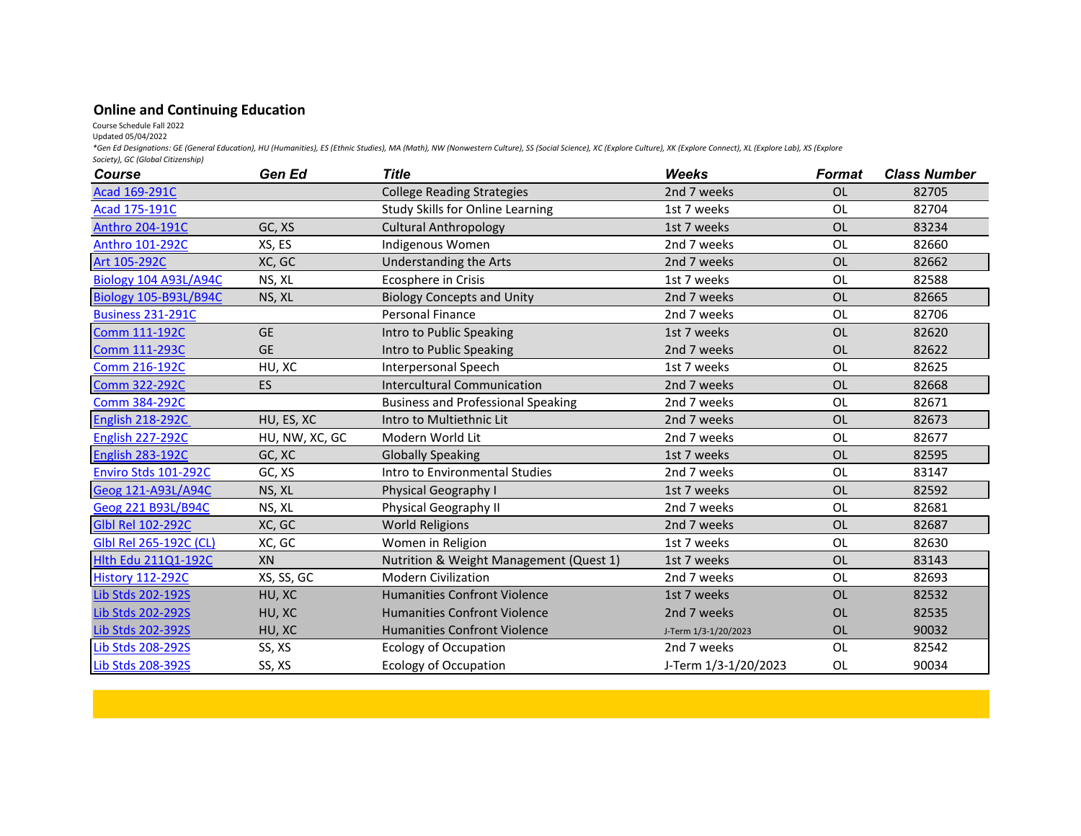## **Online and Continuing Education**

Course Schedule Fall 2022

Updated 05/04/2022

*\*Gen Ed Designations: GE (General Education), HU (Humanities), ES (Ethnic Studies), MA (Math), NW (Nonwestern Culture), SS (Social Science), XC (Explore Culture), XK (Explore Connect), XL (Explore Lab), XS (Explore Society), GC (Global Citizenship)*

| <b>Course</b>                | Gen Ed         | <b>Title</b>                              | <b>Weeks</b>         | <b>Format</b> | <b>Class Number</b> |
|------------------------------|----------------|-------------------------------------------|----------------------|---------------|---------------------|
| Acad 169-291C                |                | <b>College Reading Strategies</b>         | 2nd 7 weeks          | <b>OL</b>     | 82705               |
| Acad 175-191C                |                | Study Skills for Online Learning          | 1st 7 weeks          | <b>OL</b>     | 82704               |
| Anthro 204-191C              | GC, XS         | <b>Cultural Anthropology</b>              | 1st 7 weeks          | <b>OL</b>     | 83234               |
| Anthro 101-292C              | XS, ES         | Indigenous Women                          | 2nd 7 weeks          | <b>OL</b>     | 82660               |
| Art 105-292C                 | XC, GC         | <b>Understanding the Arts</b>             | 2nd 7 weeks          | OL            | 82662               |
| Biology 104 A93L/A94C        | NS, XL         | Ecosphere in Crisis                       | 1st 7 weeks          | <b>OL</b>     | 82588               |
| <b>Biology 105-B93L/B94C</b> | NS, XL         | <b>Biology Concepts and Unity</b>         | 2nd 7 weeks          | <b>OL</b>     | 82665               |
| <b>Business 231-291C</b>     |                | <b>Personal Finance</b>                   | 2nd 7 weeks          | <b>OL</b>     | 82706               |
| <b>Comm 111-192C</b>         | <b>GE</b>      | Intro to Public Speaking                  | 1st 7 weeks          | <b>OL</b>     | 82620               |
| <b>Comm 111-293C</b>         | <b>GE</b>      | Intro to Public Speaking                  | 2nd 7 weeks          | <b>OL</b>     | 82622               |
| Comm 216-192C                | HU, XC         | Interpersonal Speech                      | 1st 7 weeks          | OL            | 82625               |
| <b>Comm 322-292C</b>         | <b>ES</b>      | <b>Intercultural Communication</b>        | 2nd 7 weeks          | <b>OL</b>     | 82668               |
| <b>Comm 384-292C</b>         |                | <b>Business and Professional Speaking</b> | 2nd 7 weeks          | OL            | 82671               |
| <b>English 218-292C</b>      | HU, ES, XC     | Intro to Multiethnic Lit                  | 2nd 7 weeks          | OL            | 82673               |
| <b>English 227-292C</b>      | HU, NW, XC, GC | Modern World Lit                          | 2nd 7 weeks          | <b>OL</b>     | 82677               |
| <b>English 283-192C</b>      | GC, XC         | <b>Globally Speaking</b>                  | 1st 7 weeks          | <b>OL</b>     | 82595               |
| Enviro Stds 101-292C         | GC, XS         | Intro to Environmental Studies            | 2nd 7 weeks          | <b>OL</b>     | 83147               |
| Geog 121-A93L/A94C           | NS, XL         | Physical Geography I                      | 1st 7 weeks          | OL            | 82592               |
| Geog 221 B93L/B94C           | NS, XL         | Physical Geography II                     | 2nd 7 weeks          | OL            | 82681               |
| <b>Glbl Rel 102-292C</b>     | XC, GC         | <b>World Religions</b>                    | 2nd 7 weeks          | <b>OL</b>     | 82687               |
| Glbl Rel 265-192C (CL)       | XC, GC         | Women in Religion                         | 1st 7 weeks          | <b>OL</b>     | 82630               |
| <b>Hlth Edu 211Q1-192C</b>   | XN             | Nutrition & Weight Management (Quest 1)   | 1st 7 weeks          | <b>OL</b>     | 83143               |
| <b>History 112-292C</b>      | XS, SS, GC     | <b>Modern Civilization</b>                | 2nd 7 weeks          | <b>OL</b>     | 82693               |
| Lib Stds 202-192S            | HU, XC         | <b>Humanities Confront Violence</b>       | 1st 7 weeks          | <b>OL</b>     | 82532               |
| Lib Stds 202-292S            | HU, XC         | <b>Humanities Confront Violence</b>       | 2nd 7 weeks          | <b>OL</b>     | 82535               |
| Lib Stds 202-392S            | HU, XC         | <b>Humanities Confront Violence</b>       | J-Term 1/3-1/20/2023 | <b>OL</b>     | 90032               |
| Lib Stds 208-292S            | SS, XS         | Ecology of Occupation                     | 2nd 7 weeks          | <b>OL</b>     | 82542               |
| Lib Stds 208-392S            | SS, XS         | <b>Ecology of Occupation</b>              | J-Term 1/3-1/20/2023 | <b>OL</b>     | 90034               |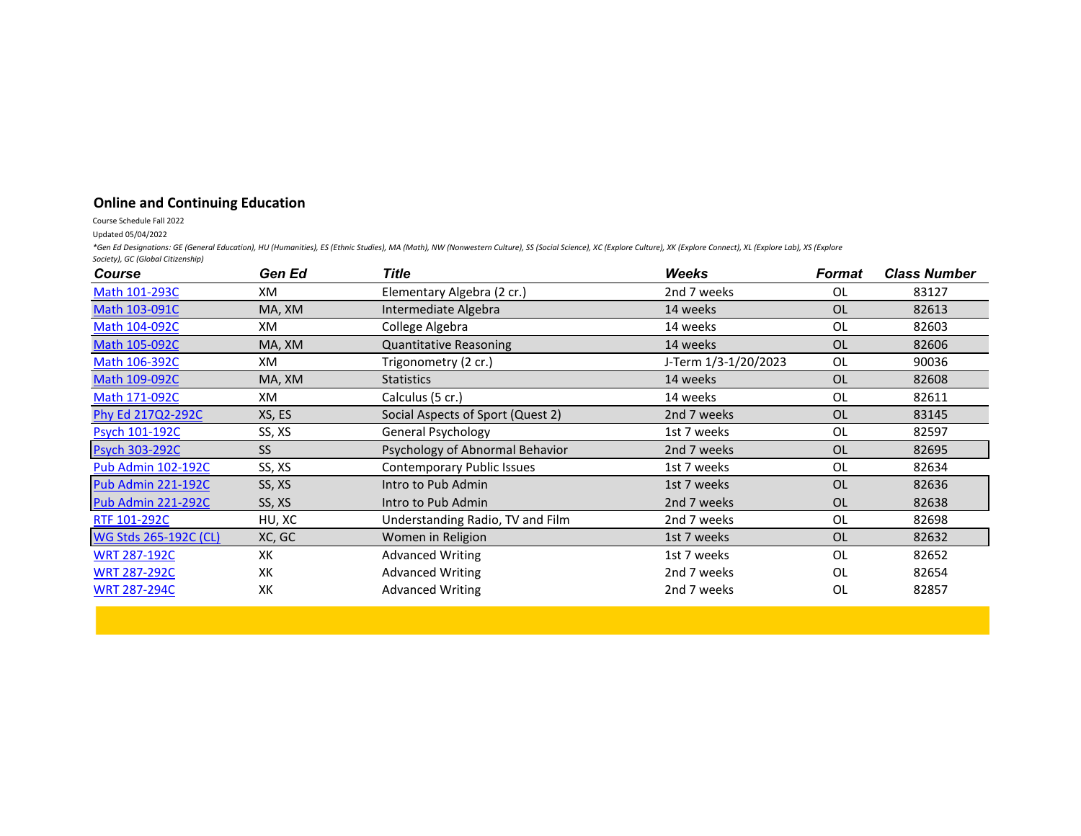## **Online and Continuing Education**

## Course Schedule Fall 2022

Updated 05/04/2022

*\*Gen Ed Designations: GE (General Education), HU (Humanities), ES (Ethnic Studies), MA (Math), NW (Nonwestern Culture), SS (Social Science), XC (Explore Culture), XK (Explore Connect), XL (Explore Lab), XS (Explore Society), GC (Global Citizenship)*

| <b>Course</b>             | Gen Ed | Title                             | <b>Weeks</b>         | Format    | <b>Class Number</b> |
|---------------------------|--------|-----------------------------------|----------------------|-----------|---------------------|
| Math 101-293C             | XM     | Elementary Algebra (2 cr.)        | 2nd 7 weeks          | 0L        | 83127               |
| Math 103-091C             | MA, XM | Intermediate Algebra              | 14 weeks             | OL        | 82613               |
| Math 104-092C             | XM     | College Algebra                   | 14 weeks             | 0L        | 82603               |
| Math 105-092C             | MA, XM | <b>Quantitative Reasoning</b>     | 14 weeks             | <b>OL</b> | 82606               |
| Math 106-392C             | XM     | Trigonometry (2 cr.)              | J-Term 1/3-1/20/2023 | <b>OL</b> | 90036               |
| Math 109-092C             | MA, XM | <b>Statistics</b>                 | 14 weeks             | <b>OL</b> | 82608               |
| Math 171-092C             | XM     | Calculus (5 cr.)                  | 14 weeks             | 0L        | 82611               |
| Phy Ed 217Q2-292C         | XS, ES | Social Aspects of Sport (Quest 2) | 2nd 7 weeks          | OL        | 83145               |
| <b>Psych 101-192C</b>     | SS, XS | General Psychology                | 1st 7 weeks          | 0L        | 82597               |
| <b>Psych 303-292C</b>     | SS.    | Psychology of Abnormal Behavior   | 2nd 7 weeks          | <b>OL</b> | 82695               |
| <b>Pub Admin 102-192C</b> | SS, XS | Contemporary Public Issues        | 1st 7 weeks          | 0L        | 82634               |
| Pub Admin 221-192C        | SS, XS | Intro to Pub Admin                | 1st 7 weeks          | <b>OL</b> | 82636               |
| Pub Admin 221-292C        | SS, XS | Intro to Pub Admin                | 2nd 7 weeks          | <b>OL</b> | 82638               |
| RTF 101-292C              | HU, XC | Understanding Radio, TV and Film  | 2nd 7 weeks          | <b>OL</b> | 82698               |
| WG Stds 265-192C (CL)     | XC, GC | Women in Religion                 | 1st 7 weeks          | <b>OL</b> | 82632               |
| <b>WRT 287-192C</b>       | XK     | <b>Advanced Writing</b>           | 1st 7 weeks          | OL        | 82652               |
| <b>WRT 287-292C</b>       | XK     | <b>Advanced Writing</b>           | 2nd 7 weeks          | 0L        | 82654               |
| <b>WRT 287-294C</b>       | XK     | <b>Advanced Writing</b>           | 2nd 7 weeks          | OL        | 82857               |